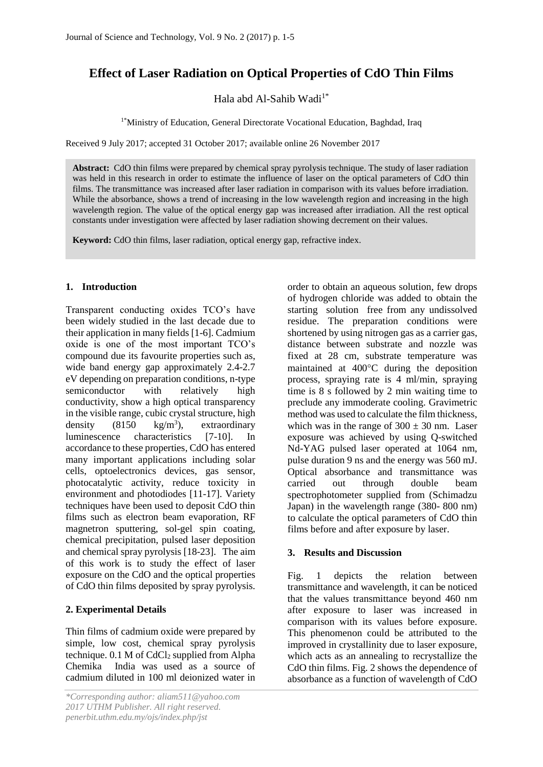# **Effect of Laser Radiation on Optical Properties of CdO Thin Films**

Hala abd Al-Sahib Wadi $1^*$ 

1\*Ministry of Education, General Directorate Vocational Education, Baghdad, Iraq

Received 9 July 2017; accepted 31 October 2017; available online 26 November 2017

**Abstract:** CdO thin films were prepared by chemical spray pyrolysis technique. The study of laser radiation was held in this research in order to estimate the influence of laser on the optical parameters of CdO thin films. The transmittance was increased after laser radiation in comparison with its values before irradiation. While the absorbance, shows a trend of increasing in the low wavelength region and increasing in the high wavelength region. The value of the optical energy gap was increased after irradiation. All the rest optical constants under investigation were affected by laser radiation showing decrement on their values.

**Keyword:** CdO thin films, laser radiation, optical energy gap, refractive index.

## **1. Introduction**

Transparent conducting oxides TCO's have been widely studied in the last decade due to their application in many fields [1-6]. Cadmium oxide is one of the most important TCO's compound due its favourite properties such as, wide band energy gap approximately 2.4-2.7 eV depending on preparation conditions, n-type semiconductor with relatively high conductivity, show a high optical transparency in the visible range, cubic crystal structure, high density  $(8150 \text{ kg/m}^3)$ . ), extraordinary luminescence characteristics [7-10]. In accordance to these properties, CdO has entered many important applications including solar cells, optoelectronics devices, gas sensor, photocatalytic activity, reduce toxicity in environment and photodiodes [11-17]. Variety techniques have been used to deposit CdO thin films such as electron beam evaporation, RF magnetron sputtering, sol-gel spin coating, chemical precipitation, pulsed laser deposition and chemical spray pyrolysis [18-23]. The aim of this work is to study the effect of laser exposure on the CdO and the optical properties of CdO thin films deposited by spray pyrolysis.

# **2. Experimental Details**

Thin films of cadmium oxide were prepared by simple, low cost, chemical spray pyrolysis technique.  $0.1$  M of CdCl<sub>2</sub> supplied from Alpha Chemika India was used as a source of cadmium diluted in 100 ml deionized water in

order to obtain an aqueous solution, few drops of hydrogen chloride was added to obtain the starting solution free from any undissolved residue. The preparation conditions were shortened by using nitrogen gas as a carrier gas, distance between substrate and nozzle was fixed at 28 cm, substrate temperature was maintained at  $400^{\circ}$ C during the deposition process, spraying rate is 4 ml/min, spraying time is 8 s followed by 2 min waiting time to preclude any immoderate cooling. Gravimetric method was used to calculate the film thickness, which was in the range of  $300 \pm 30$  nm. Laser exposure was achieved by using Q-switched Nd-YAG pulsed laser operated at 1064 nm, pulse duration 9 ns and the energy was 560 mJ. Optical absorbance and transmittance was carried out through double beam spectrophotometer supplied from (Schimadzu Japan) in the wavelength range (380- 800 nm) to calculate the optical parameters of CdO thin films before and after exposure by laser.

## **3. Results and Discussion**

Fig. 1 depicts the relation between transmittance and wavelength, it can be noticed that the values transmittance beyond 460 nm after exposure to laser was increased in comparison with its values before exposure. This phenomenon could be attributed to the improved in crystallinity due to laser exposure, which acts as an annealing to recrystallize the CdO thin films. Fig. 2 shows the dependence of absorbance as a function of wavelength of CdO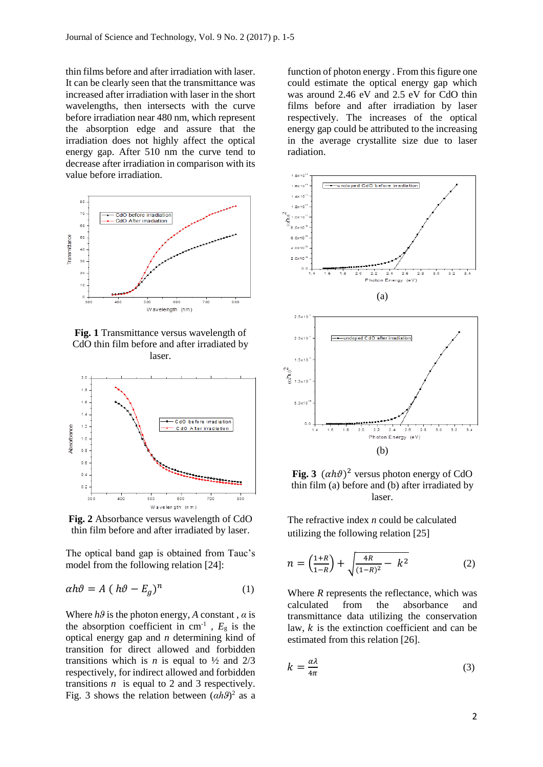thin films before and after irradiation with laser. It can be clearly seen that the transmittance was increased after irradiation with laser in the short wavelengths, then intersects with the curve before irradiation near 480 nm, which represent the absorption edge and assure that the irradiation does not highly affect the optical energy gap. After 510 nm the curve tend to decrease after irradiation in comparison with its value before irradiation.



**Fig. 1** Transmittance versus wavelength of CdO thin film before and after irradiated by laser.



**Fig. 2** Absorbance versus wavelength of CdO thin film before and after irradiated by laser.

The optical band gap is obtained from Tauc's model from the following relation [24]:

$$
\alpha h\vartheta = A (h\vartheta - E_g)^n \tag{1}
$$

Where  $h\theta$  is the photon energy, A constant,  $\alpha$  is the absorption coefficient in  $cm^{-1}$ ,  $E<sub>g</sub>$  is the optical energy gap and *n* determining kind of transition for direct allowed and forbidden transitions which is *n* is equal to  $\frac{1}{2}$  and  $\frac{2}{3}$ respectively, for indirect allowed and forbidden transitions  $n$  is equal to 2 and 3 respectively. Fig. 3 shows the relation between  $(\alpha h \theta)^2$  as a function of photon energy . From this figure one could estimate the optical energy gap which was around 2.46 eV and 2.5 eV for CdO thin films before and after irradiation by laser respectively. The increases of the optical energy gap could be attributed to the increasing in the average crystallite size due to laser radiation.



Fig. 3  $(\alpha h\vartheta)^2$  versus photon energy of CdO thin film (a) before and (b) after irradiated by laser.

The refractive index *n* could be calculated utilizing the following relation [25]

$$
n = \left(\frac{1+R}{1-R}\right) + \sqrt{\frac{4R}{(1-R)^2} - k^2} \tag{2}
$$

Where *R* represents the reflectance, which was calculated from the absorbance and transmittance data utilizing the conservation law,  $k$  is the extinction coefficient and can be estimated from this relation [26].

$$
k = \frac{\alpha \lambda}{4\pi} \tag{3}
$$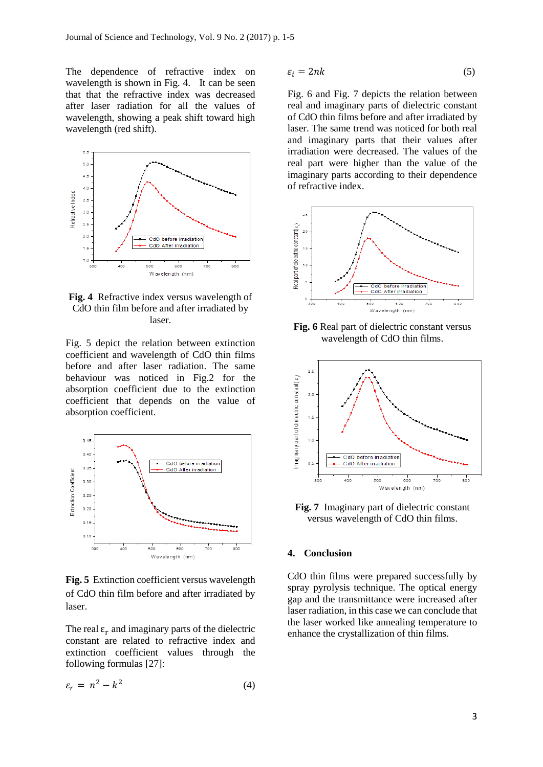The dependence of refractive index on wavelength is shown in Fig. 4. It can be seen that that the refractive index was decreased after laser radiation for all the values of wavelength, showing a peak shift toward high wavelength (red shift).



**Fig. 4** Refractive index versus wavelength of CdO thin film before and after irradiated by laser.

Fig. 5 depict the relation between extinction coefficient and wavelength of CdO thin films before and after laser radiation. The same behaviour was noticed in Fig.2 for the absorption coefficient due to the extinction coefficient that depends on the value of absorption coefficient.



**Fig. 5** Extinction coefficient versus wavelength of CdO thin film before and after irradiated by laser.

The real  $\varepsilon_r$  and imaginary parts of the dielectric constant are related to refractive index and extinction coefficient values through the following formulas [27]:

$$
\varepsilon_r = n^2 - k^2 \tag{4}
$$

$$
\varepsilon_i = 2nk \tag{5}
$$

Fig. 6 and Fig. 7 depicts the relation between real and imaginary parts of dielectric constant of CdO thin films before and after irradiated by laser. The same trend was noticed for both real and imaginary parts that their values after irradiation were decreased. The values of the real part were higher than the value of the imaginary parts according to their dependence of refractive index.



**Fig. 6** Real part of dielectric constant versus wavelength of CdO thin films.



**Fig. 7** Imaginary part of dielectric constant versus wavelength of CdO thin films.

#### **4. Conclusion**

CdO thin films were prepared successfully by spray pyrolysis technique. The optical energy gap and the transmittance were increased after laser radiation, in this case we can conclude that the laser worked like annealing temperature to enhance the crystallization of thin films.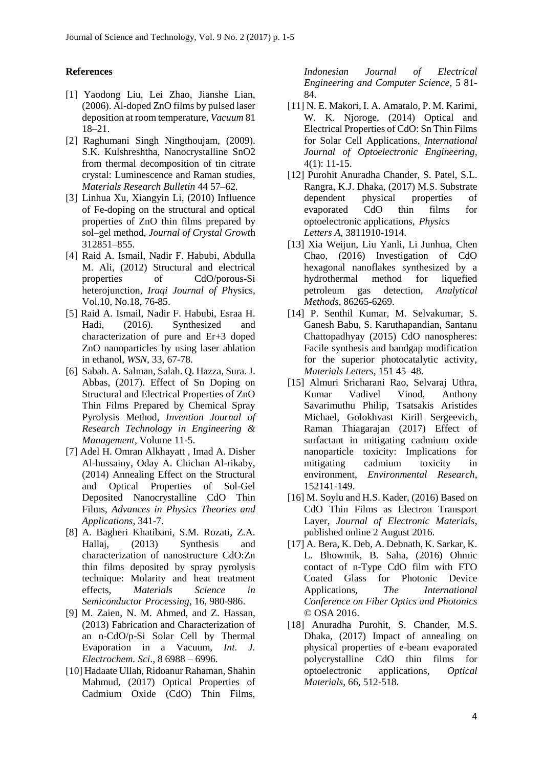#### **References**

- [1] Yaodong Liu, Lei Zhao, Jianshe Lian, (2006). Al-doped ZnO films by pulsed laser deposition at room temperature, *Vacuum* 81 18–21.
- [2] Raghumani Singh Ningthoujam, (2009). S.K. Kulshreshtha, Nanocrystalline SnO2 from thermal decomposition of tin citrate crystal: Luminescence and Raman studies, *Materials Research Bulletin* 44 57–62.
- [3] Linhua Xu, Xiangyin Li, (2010) Influence of Fe-doping on the structural and optical properties of ZnO thin films prepared by sol–gel method, *Journal of Crystal Growt*h 312851–855.
- [4] Raid A. Ismail, Nadir F. Habubi, Abdulla M. Ali, (2012) Structural and electrical properties of CdO/porous-Si heterojunction, *Iraqi Journal of Ph*ysics, Vol.10, No.18, 76-85.
- [5] Raid A. Ismail, Nadir F. Habubi, Esraa H. Hadi, (2016). Synthesized and characterization of pure and Er+3 doped ZnO nanoparticles by using laser ablation in ethanol, *WSN,* 33, 67-78.
- [6] Sabah. A. Salman, Salah. Q. Hazza, Sura. J. Abbas, (2017). Effect of Sn Doping on Structural and Electrical Properties of ZnO Thin Films Prepared by Chemical Spray Pyrolysis Method, *Invention Journal of Research Technology in Engineering & Management*, Volume 11-5.
- [7] Adel H. Omran Alkhayatt , Imad A. Disher Al-hussainy, Oday A. Chichan Al-rikaby, (2014) Annealing Effect on the Structural and Optical Properties of Sol-Gel Deposited Nanocrystalline CdO Thin Films, *Advances in Physics Theories and Applications*, 341-7.
- [8] A. Bagheri Khatibani, S.M. Rozati, Z.A. Hallaj, (2013) Synthesis and characterization of nanostructure CdO:Zn thin films deposited by spray pyrolysis technique: Molarity and heat treatment effects, *Materials Science in Semiconductor Processing*, 16, 980-986.
- [9] M. Zaien, N. M. Ahmed, and Z. Hassan, (2013) Fabrication and Characterization of an n-CdO/p-Si Solar Cell by Thermal Evaporation in a Vacuum, *Int. J. Electrochem. Sci*., 8 6988 – 6996.
- [10] Hadaate Ullah, Ridoanur Rahaman, Shahin Mahmud, (2017) Optical Properties of Cadmium Oxide (CdO) Thin Films,

*Indonesian Journal of Electrical Engineering and Computer Science*, 5 81- 84.

- [11] N. E. Makori, I. A. Amatalo, P. M. Karimi, W. K. Njoroge, (2014) Optical and Electrical Properties of CdO: Sn Thin Films for Solar Cell Applications, *International Journal of Optoelectronic Engineering,* 4(1): 11-15.
- [12] Purohit Anuradha Chander, S. Patel, S.L. Rangra, K.J. Dhaka, (2017) M.S. Substrate dependent physical properties of evaporated CdO thin films for optoelectronic applications, *Physics Letters A*, 3811910-1914.
- [13] Xia Weijun, Liu Yanli, Li Junhua, Chen Chao, (2016) Investigation of CdO hexagonal nanoflakes synthesized by a hydrothermal method for liquefied petroleum gas detection, *Analytical Methods*, 86265-6269.
- [14] P. Senthil Kumar, M. Selvakumar, S. Ganesh Babu, S. Karuthapandian, Santanu Chattopadhyay (2015) CdO nanospheres: Facile synthesis and bandgap modification for the superior photocatalytic activity, *Materials Letters*, 151 45–48.
- [15] Almuri Sricharani Rao, Selvaraj Uthra, Kumar Vadivel Vinod, Anthony Savarimuthu Philip, Tsatsakis Aristides Michael, Golokhvast Kirill Sergeevich, Raman Thiagarajan (2017) Effect of surfactant in mitigating cadmium oxide nanoparticle toxicity: Implications for mitigating cadmium toxicity in environment, *Environmental Research*, 152141-149.
- [16] M. Soylu and H.S. Kader, (2016) Based on CdO Thin Films as Electron Transport Layer, *Journal of Electronic Materials*, published online 2 August 2016.
- [17] A. Bera, K. Deb, A. Debnath, K. Sarkar, K. L. Bhowmik, B. Saha, (2016) Ohmic contact of n-Type CdO film with FTO Coated Glass for Photonic Device Applications, *The International Conference on Fiber Optics and Photonics* © OSA 2016.
- [18] Anuradha Purohit, S. Chander, M.S. Dhaka, (2017) Impact of annealing on physical properties of e-beam evaporated polycrystalline CdO thin films for optoelectronic applications, *Optical Materials*, 66, 512-518.